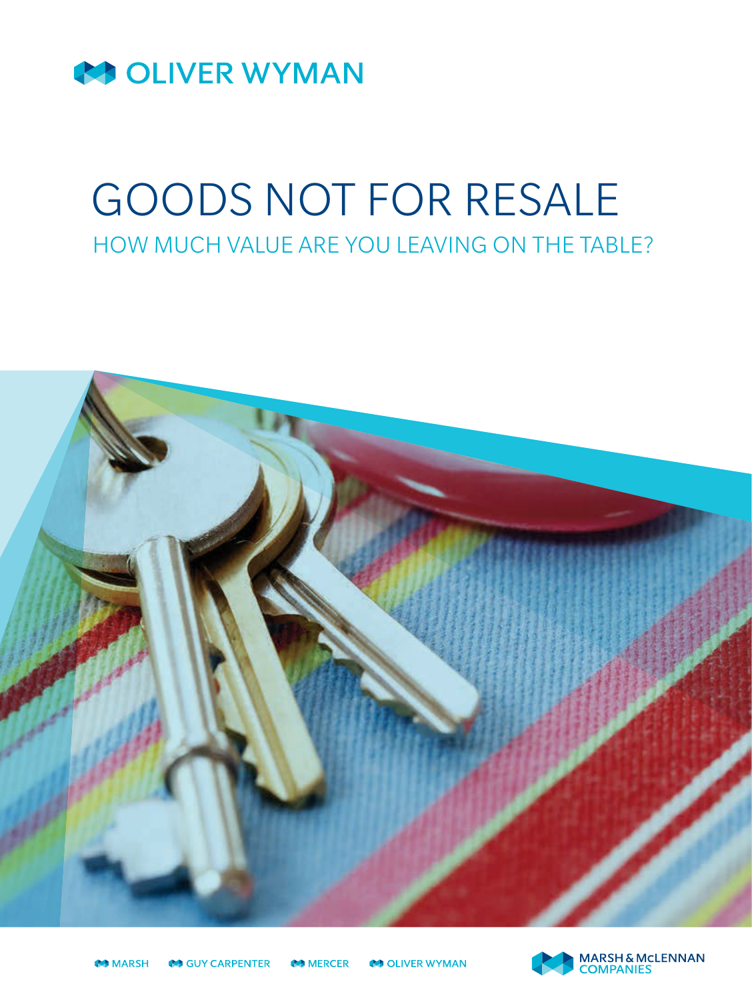

# GOODS NOT FOR RESALE

HOW MUCH VALUE ARE YOU LEAVING ON THE TABLE?



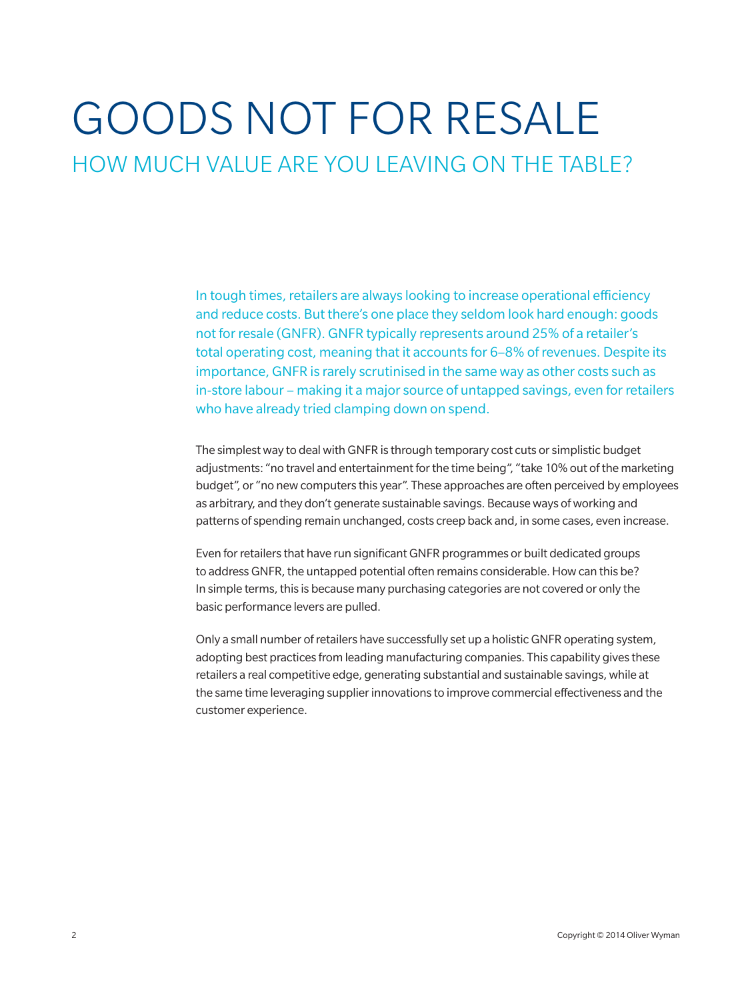## GOODS NOT FOR RESALE

HOW MUCH VALUE ARE YOU LEAVING ON THE TABLE?

In tough times, retailers are always looking to increase operational efficiency and reduce costs. But there's one place they seldom look hard enough: goods not for resale (GNFR). GNFR typically represents around 25% of a retailer's total operating cost, meaning that it accounts for 6–8% of revenues. Despite its importance, GNFR is rarely scrutinised in the same way as other costs such as in-store labour – making it a major source of untapped savings, even for retailers who have already tried clamping down on spend.

The simplest way to deal with GNFR is through temporary cost cuts or simplistic budget adjustments: "no travel and entertainment for the time being", "take 10% out of the marketing budget", or "no new computers this year". These approaches are often perceived by employees as arbitrary, and they don't generate sustainable savings. Because ways of working and patterns of spending remain unchanged, costs creep back and, in some cases, even increase.

Even for retailers that have run significant GNFR programmes or built dedicated groups to address GNFR, the untapped potential often remains considerable. How can this be? In simple terms, this is because many purchasing categories are not covered or only the basic performance levers are pulled.

Only a small number of retailers have successfully set up a holistic GNFR operating system, adopting best practices from leading manufacturing companies. This capability gives these retailers a real competitive edge, generating substantial and sustainable savings, while at the same time leveraging supplier innovations to improve commercial effectiveness and the customer experience.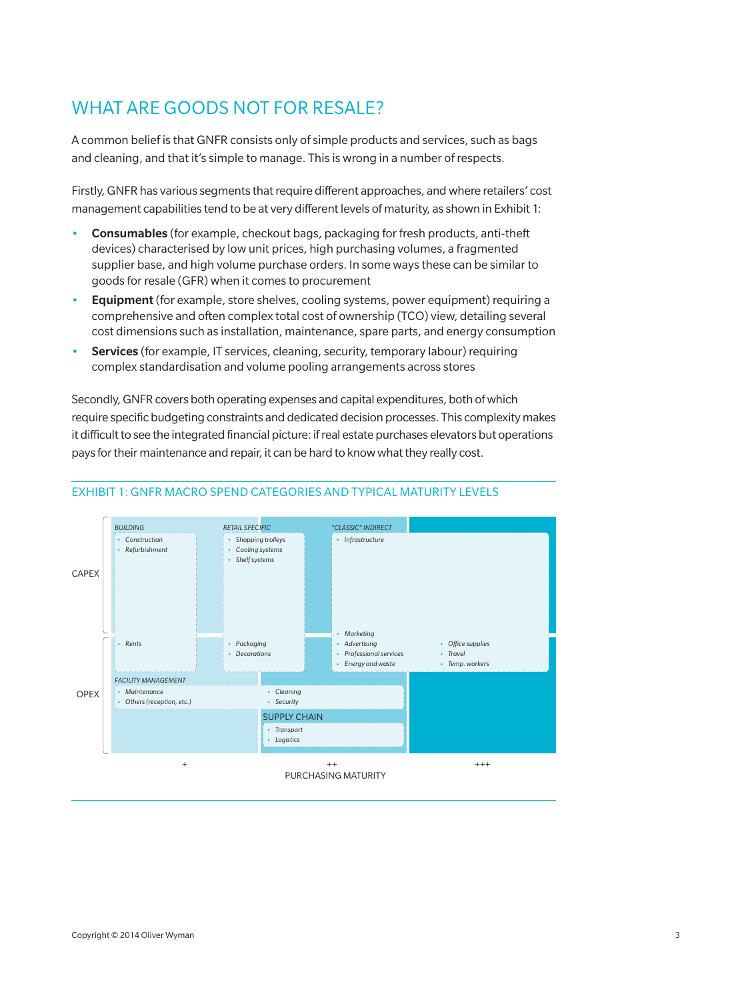## WHAT ARE GOODS NOT FOR RESALE?

A common belief is that GNFR consists only of simple products and services, such as bags and cleaning, and that it's simple to manage. This is wrong in a number of respects.

Firstly, GNFR has various segments that require different approaches, and where retailers' cost management capabilities tend to be at very different levels of maturity, as shown in Exhibit 1:

- Consumables (for example, checkout bags, packaging for fresh products, anti-theft devices) characterised by low unit prices, high purchasing volumes, a fragmented supplier base, and high volume purchase orders. In some ways these can be similar to goods for resale (GFR) when it comes to procurement
- Equipment (for example, store shelves, cooling systems, power equipment) requiring a comprehensive and often complex total cost of ownership (TCO) view, detailing several cost dimensions such as installation, maintenance, spare parts, and energy consumption
- Services (for example, IT services, cleaning, security, temporary labour) requiring complex standardisation and volume pooling arrangements across stores

Secondly, GNFR covers both operating expenses and capital expenditures, both of which require specific budgeting constraints and dedicated decision processes. This complexity makes it difficult to see the integrated financial picture: if real estate purchases elevators but operations pays for their maintenance and repair, it can be hard to know what they really cost.



#### Exhibit 1: GNFR MACRO SPEND CATEGORIES AND TYPICAL MATURITY LEVELS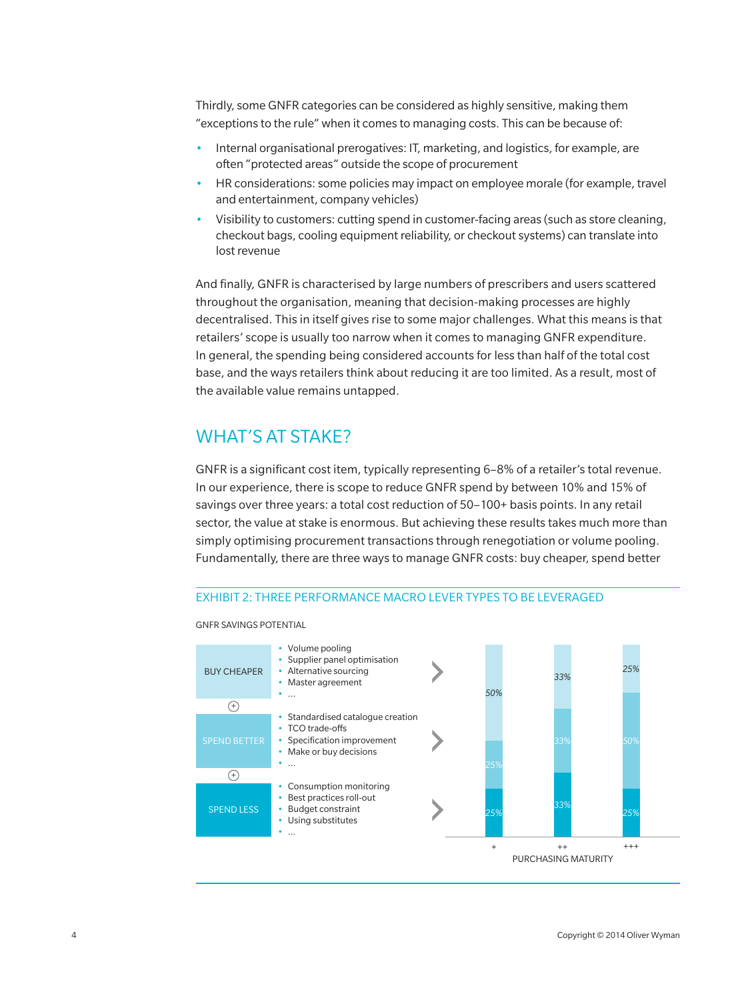Thirdly, some GNFR categories can be considered as highly sensitive, making them "exceptions to the rule" when it comes to managing costs. This can be because of:

- Internal organisational prerogatives: IT, marketing, and logistics, for example, are often "protected areas" outside the scope of procurement
- HR considerations: some policies may impact on employee morale (for example, travel and entertainment, company vehicles)
- Visibility to customers: cutting spend in customer-facing areas (such as store cleaning, checkout bags, cooling equipment reliability, or checkout systems) can translate into lost revenue

And finally, GNFR is characterised by large numbers of prescribers and users scattered throughout the organisation, meaning that decision-making processes are highly decentralised. This in itself gives rise to some major challenges. What this means is that retailers' scope is usually too narrow when it comes to managing GNFR expenditure. In general, the spending being considered accounts for less than half of the total cost base, and the ways retailers think about reducing it are too limited. As a result, most of the available value remains untapped.

### WHAT'S AT STAKE?

GNFR is a significant cost item, typically representing 6–8% of a retailer's total revenue. In our experience, there is scope to reduce GNFR spend by between 10% and 15% of savings over three years: a total cost reduction of 50–100+ basis points. In any retail sector, the value at stake is enormous. But achieving these results takes much more than simply optimising procurement transactions through renegotiation or volume pooling. Fundamentally, there are three ways to manage GNFR costs: buy cheaper, spend better

#### Exhibit 2: THREE PERFORMANCE MACRO LEVER TYPES TO BE LEVERAGED



GNFR SAVINGS POTENTIAL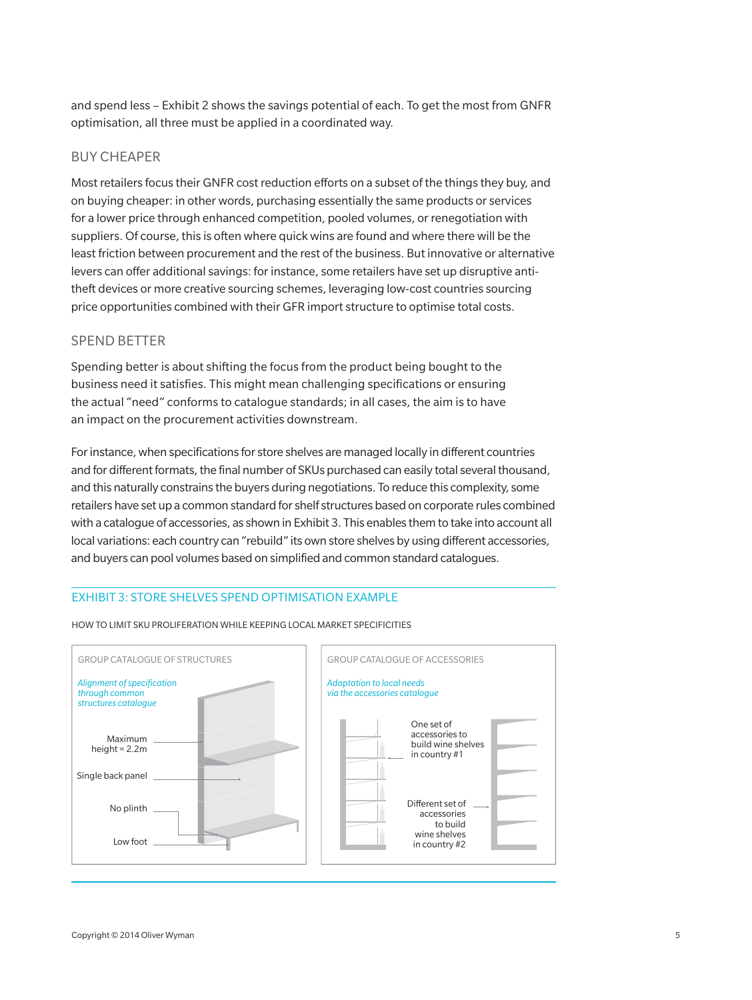and spend less – Exhibit 2 shows the savings potential of each. To get the most from GNFR optimisation, all three must be applied in a coordinated way.

#### BUY CHEAPER

Most retailers focus their GNFR cost reduction efforts on a subset of the things they buy, and on buying cheaper: in other words, purchasing essentially the same products or services for a lower price through enhanced competition, pooled volumes, or renegotiation with suppliers. Of course, this is often where quick wins are found and where there will be the least friction between procurement and the rest of the business. But innovative or alternative levers can offer additional savings: for instance, some retailers have set up disruptive antitheft devices or more creative sourcing schemes, leveraging low-cost countries sourcing price opportunities combined with their GFR import structure to optimise total costs.

#### SPEND BETTER

Spending better is about shifting the focus from the product being bought to the business need it satisfies. This might mean challenging specifications or ensuring the actual "need" conforms to catalogue standards; in all cases, the aim is to have an impact on the procurement activities downstream.

For instance, when specifications for store shelves are managed locally in different countries and for different formats, the final number of SKUs purchased can easily total several thousand, and this naturally constrains the buyers during negotiations. To reduce this complexity, some retailers have set up a common standard for shelf structures based on corporate rules combined with a catalogue of accessories, as shown in Exhibit 3. This enables them to take into account all local variations: each country can "rebuild" its own store shelves by using different accessories, and buyers can pool volumes based on simplified and common standard catalogues.

#### Exhibit 3: STORE SHELVES SPEND OPTIMISATION EXAMPLE



HOW TO LIMIT SKU PROLIFERATION WHILE KEEPING LOCAL MARKET SPECIFICITIES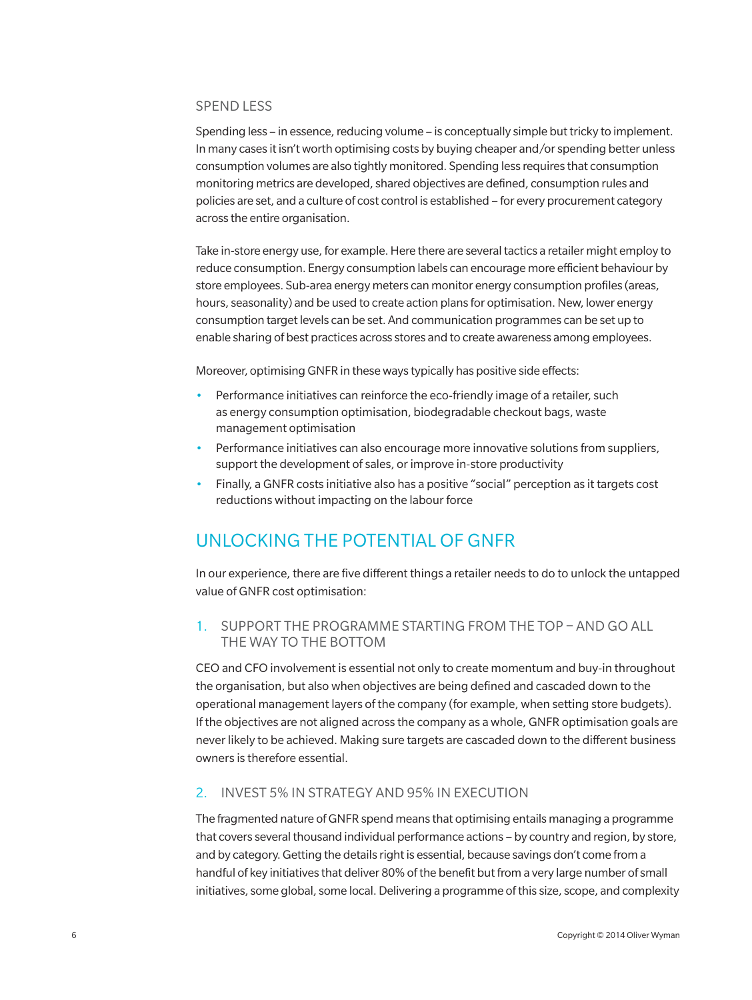#### SPEND LESS

Spending less – in essence, reducing volume – is conceptually simple but tricky to implement. In many cases it isn't worth optimising costs by buying cheaper and/or spending better unless consumption volumes are also tightly monitored. Spending less requires that consumption monitoring metrics are developed, shared objectives are defined, consumption rules and policies are set, and a culture of cost control is established – for every procurement category across the entire organisation.

Take in-store energy use, for example. Here there are several tactics a retailer might employ to reduce consumption. Energy consumption labels can encourage more efficient behaviour by store employees. Sub-area energy meters can monitor energy consumption profiles (areas, hours, seasonality) and be used to create action plans for optimisation. New, lower energy consumption target levels can be set. And communication programmes can be set up to enable sharing of best practices across stores and to create awareness among employees.

Moreover, optimising GNFR in these ways typically has positive side effects:

- Performance initiatives can reinforce the eco-friendly image of a retailer, such as energy consumption optimisation, biodegradable checkout bags, waste management optimisation
- Performance initiatives can also encourage more innovative solutions from suppliers, support the development of sales, or improve in-store productivity
- Finally, a GNFR costs initiative also has a positive "social" perception as it targets cost reductions without impacting on the labour force

## UNLOCKING THE POTENTIAL OF GNFR

In our experience, there are five different things a retailer needs to do to unlock the untapped value of GNFR cost optimisation:

#### 1. SUPPORT THE PROGRAMME STARTING FROM THE TOP – AND GO ALL THE WAY TO THE BOTTOM

CEO and CFO involvement is essential not only to create momentum and buy-in throughout the organisation, but also when objectives are being defined and cascaded down to the operational management layers of the company (for example, when setting store budgets). If the objectives are not aligned across the company as a whole, GNFR optimisation goals are never likely to be achieved. Making sure targets are cascaded down to the different business owners is therefore essential.

#### 2. INVEST 5% IN STRATEGY AND 95% IN EXECUTION

The fragmented nature of GNFR spend means that optimising entails managing a programme that covers several thousand individual performance actions – by country and region, by store, and by category. Getting the details right is essential, because savings don't come from a handful of key initiatives that deliver 80% of the benefit but from a very large number of small initiatives, some global, some local. Delivering a programme of this size, scope, and complexity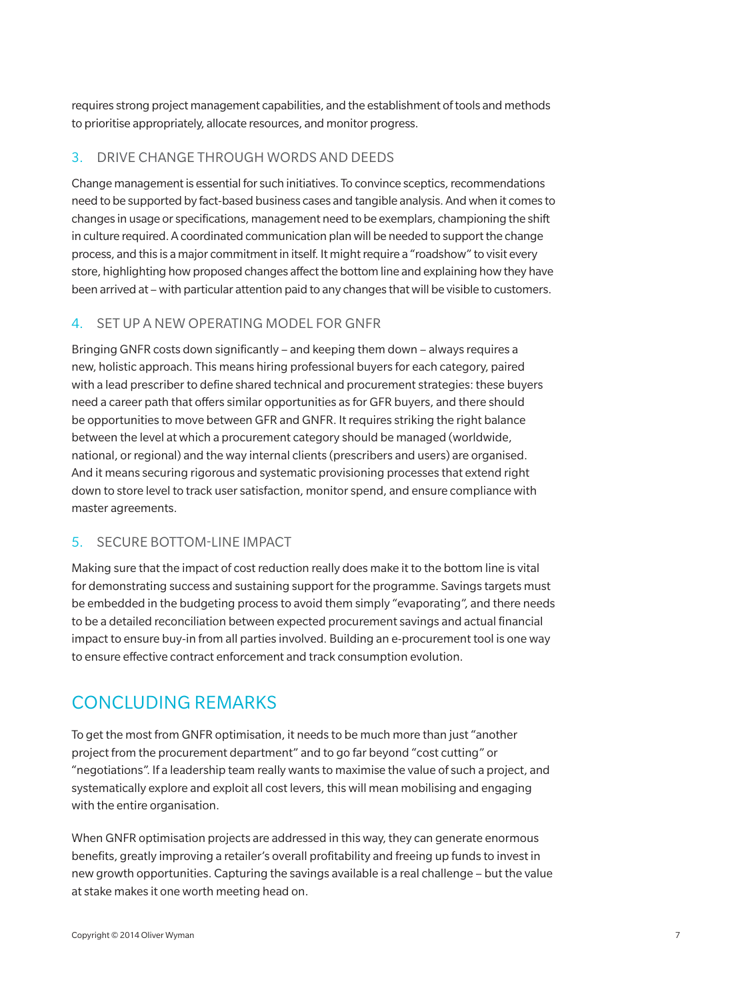requires strong project management capabilities, and the establishment of tools and methods to prioritise appropriately, allocate resources, and monitor progress.

#### 3. DRIVE CHANGE THROUGH WORDS AND DEEDS

Change management is essential for such initiatives. To convince sceptics, recommendations need to be supported by fact-based business cases and tangible analysis. And when it comes to changes in usage or specifications, management need to be exemplars, championing the shift in culture required. A coordinated communication plan will be needed to support the change process, and this is a major commitment in itself. It might require a "roadshow" to visit every store, highlighting how proposed changes affect the bottom line and explaining how they have been arrived at – with particular attention paid to any changes that will be visible to customers.

#### 4. SET UP A NEW OPERATING MODEL FOR GNFR

Bringing GNFR costs down significantly – and keeping them down – always requires a new, holistic approach. This means hiring professional buyers for each category, paired with a lead prescriber to define shared technical and procurement strategies: these buyers need a career path that offers similar opportunities as for GFR buyers, and there should be opportunities to move between GFR and GNFR. It requires striking the right balance between the level at which a procurement category should be managed (worldwide, national, or regional) and the way internal clients (prescribers and users) are organised. And it means securing rigorous and systematic provisioning processes that extend right down to store level to track user satisfaction, monitor spend, and ensure compliance with master agreements.

#### 5. SECURE BOTTOM-LINE IMPACT

Making sure that the impact of cost reduction really does make it to the bottom line is vital for demonstrating success and sustaining support for the programme. Savings targets must be embedded in the budgeting process to avoid them simply "evaporating", and there needs to be a detailed reconciliation between expected procurement savings and actual financial impact to ensure buy-in from all parties involved. Building an e-procurement tool is one way to ensure effective contract enforcement and track consumption evolution.

## CONCLUDING REMARKS

To get the most from GNFR optimisation, it needs to be much more than just "another project from the procurement department" and to go far beyond "cost cutting" or "negotiations". If a leadership team really wants to maximise the value of such a project, and systematically explore and exploit all cost levers, this will mean mobilising and engaging with the entire organisation.

When GNFR optimisation projects are addressed in this way, they can generate enormous benefits, greatly improving a retailer's overall profitability and freeing up funds to invest in new growth opportunities. Capturing the savings available is a real challenge – but the value at stake makes it one worth meeting head on.